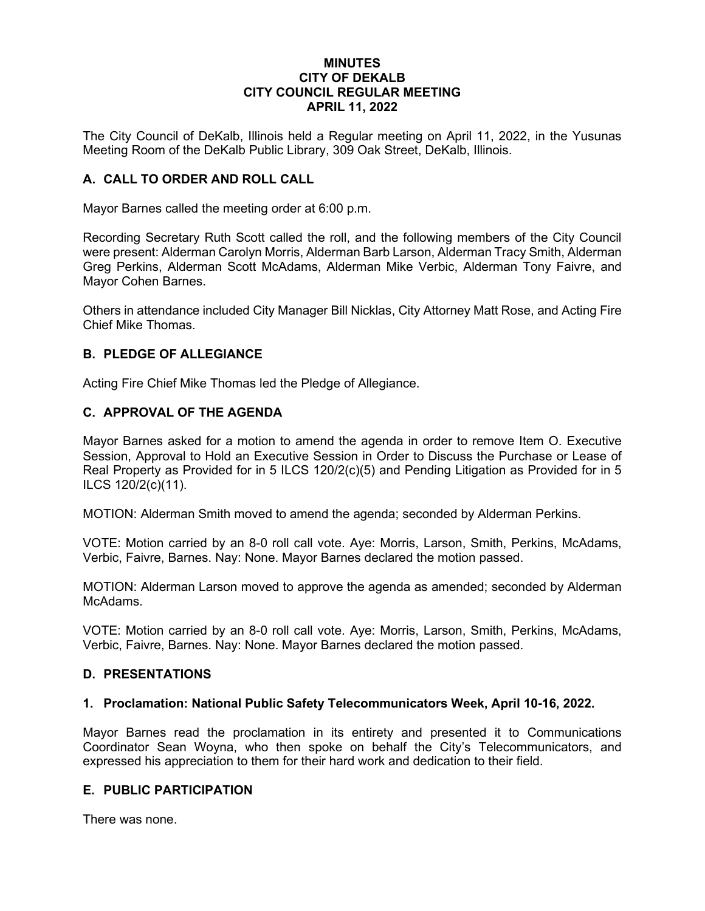### **MINUTES CITY OF DEKALB CITY COUNCIL REGULAR MEETING APRIL 11, 2022**

The City Council of DeKalb, Illinois held a Regular meeting on April 11, 2022, in the Yusunas Meeting Room of the DeKalb Public Library, 309 Oak Street, DeKalb, Illinois.

## **A. CALL TO ORDER AND ROLL CALL**

Mayor Barnes called the meeting order at 6:00 p.m.

Recording Secretary Ruth Scott called the roll, and the following members of the City Council were present: Alderman Carolyn Morris, Alderman Barb Larson, Alderman Tracy Smith, Alderman Greg Perkins, Alderman Scott McAdams, Alderman Mike Verbic, Alderman Tony Faivre, and Mayor Cohen Barnes.

Others in attendance included City Manager Bill Nicklas, City Attorney Matt Rose, and Acting Fire Chief Mike Thomas.

## **B. PLEDGE OF ALLEGIANCE**

Acting Fire Chief Mike Thomas led the Pledge of Allegiance.

### **C. APPROVAL OF THE AGENDA**

Mayor Barnes asked for a motion to amend the agenda in order to remove Item O. Executive Session, Approval to Hold an Executive Session in Order to Discuss the Purchase or Lease of Real Property as Provided for in 5 ILCS 120/2(c)(5) and Pending Litigation as Provided for in 5 ILCS 120/2(c)(11).

MOTION: Alderman Smith moved to amend the agenda; seconded by Alderman Perkins.

VOTE: Motion carried by an 8-0 roll call vote. Aye: Morris, Larson, Smith, Perkins, McAdams, Verbic, Faivre, Barnes. Nay: None. Mayor Barnes declared the motion passed.

MOTION: Alderman Larson moved to approve the agenda as amended; seconded by Alderman **McAdams** 

VOTE: Motion carried by an 8-0 roll call vote. Aye: Morris, Larson, Smith, Perkins, McAdams, Verbic, Faivre, Barnes. Nay: None. Mayor Barnes declared the motion passed.

#### **D. PRESENTATIONS**

#### **1. Proclamation: National Public Safety Telecommunicators Week, April 10-16, 2022.**

Mayor Barnes read the proclamation in its entirety and presented it to Communications Coordinator Sean Woyna, who then spoke on behalf the City's Telecommunicators, and expressed his appreciation to them for their hard work and dedication to their field.

#### **E. PUBLIC PARTICIPATION**

There was none.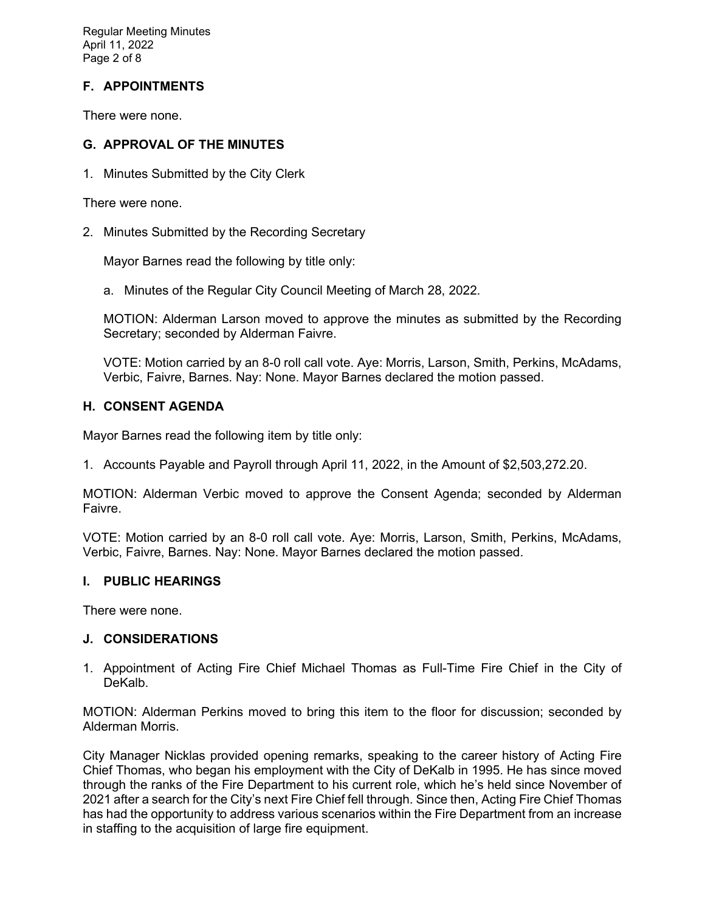Regular Meeting Minutes April 11, 2022 Page 2 of 8

# **F. APPOINTMENTS**

There were none.

## **G. APPROVAL OF THE MINUTES**

1. Minutes Submitted by the City Clerk

There were none.

2. Minutes Submitted by the Recording Secretary

Mayor Barnes read the following by title only:

a. Minutes of the Regular City Council Meeting of March 28, 2022.

MOTION: Alderman Larson moved to approve the minutes as submitted by the Recording Secretary; seconded by Alderman Faivre.

VOTE: Motion carried by an 8-0 roll call vote. Aye: Morris, Larson, Smith, Perkins, McAdams, Verbic, Faivre, Barnes. Nay: None. Mayor Barnes declared the motion passed.

## **H. CONSENT AGENDA**

Mayor Barnes read the following item by title only:

1. Accounts Payable and Payroll through April 11, 2022, in the Amount of \$2,503,272.20.

MOTION: Alderman Verbic moved to approve the Consent Agenda; seconded by Alderman Faivre.

VOTE: Motion carried by an 8-0 roll call vote. Aye: Morris, Larson, Smith, Perkins, McAdams, Verbic, Faivre, Barnes. Nay: None. Mayor Barnes declared the motion passed.

#### **I. PUBLIC HEARINGS**

There were none.

#### **J. CONSIDERATIONS**

1. Appointment of Acting Fire Chief Michael Thomas as Full-Time Fire Chief in the City of DeKalb.

MOTION: Alderman Perkins moved to bring this item to the floor for discussion; seconded by Alderman Morris.

City Manager Nicklas provided opening remarks, speaking to the career history of Acting Fire Chief Thomas, who began his employment with the City of DeKalb in 1995. He has since moved through the ranks of the Fire Department to his current role, which he's held since November of 2021 after a search for the City's next Fire Chief fell through. Since then, Acting Fire Chief Thomas has had the opportunity to address various scenarios within the Fire Department from an increase in staffing to the acquisition of large fire equipment.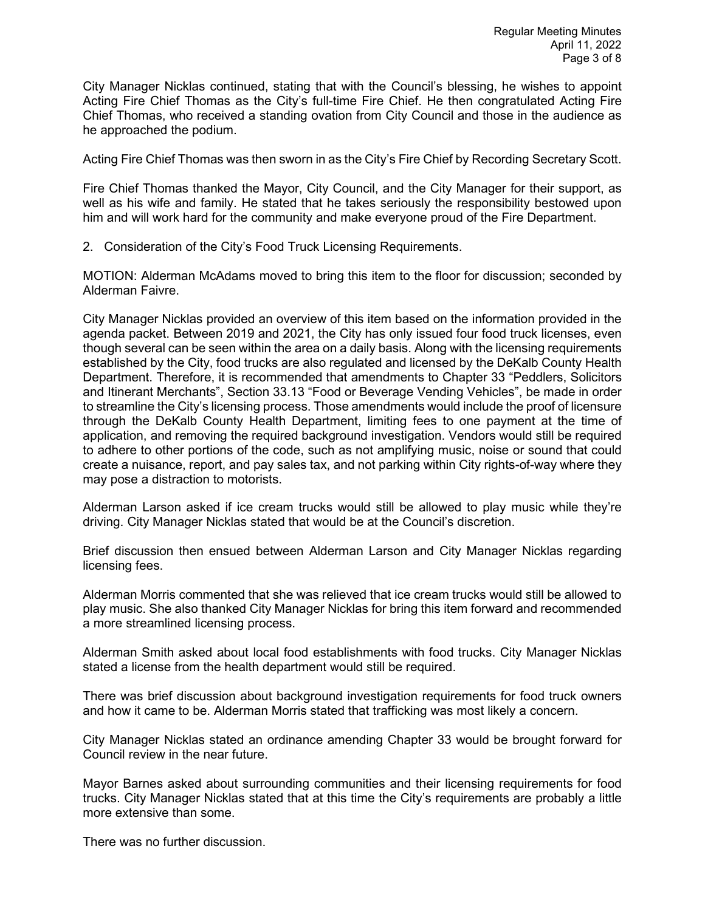City Manager Nicklas continued, stating that with the Council's blessing, he wishes to appoint Acting Fire Chief Thomas as the City's full-time Fire Chief. He then congratulated Acting Fire Chief Thomas, who received a standing ovation from City Council and those in the audience as he approached the podium.

Acting Fire Chief Thomas was then sworn in as the City's Fire Chief by Recording Secretary Scott.

Fire Chief Thomas thanked the Mayor, City Council, and the City Manager for their support, as well as his wife and family. He stated that he takes seriously the responsibility bestowed upon him and will work hard for the community and make everyone proud of the Fire Department.

2. Consideration of the City's Food Truck Licensing Requirements.

MOTION: Alderman McAdams moved to bring this item to the floor for discussion; seconded by Alderman Faivre.

City Manager Nicklas provided an overview of this item based on the information provided in the agenda packet. Between 2019 and 2021, the City has only issued four food truck licenses, even though several can be seen within the area on a daily basis. Along with the licensing requirements established by the City, food trucks are also regulated and licensed by the DeKalb County Health Department. Therefore, it is recommended that amendments to Chapter 33 "Peddlers, Solicitors and Itinerant Merchants", Section 33.13 "Food or Beverage Vending Vehicles", be made in order to streamline the City's licensing process. Those amendments would include the proof of licensure through the DeKalb County Health Department, limiting fees to one payment at the time of application, and removing the required background investigation. Vendors would still be required to adhere to other portions of the code, such as not amplifying music, noise or sound that could create a nuisance, report, and pay sales tax, and not parking within City rights-of-way where they may pose a distraction to motorists.

Alderman Larson asked if ice cream trucks would still be allowed to play music while they're driving. City Manager Nicklas stated that would be at the Council's discretion.

Brief discussion then ensued between Alderman Larson and City Manager Nicklas regarding licensing fees.

Alderman Morris commented that she was relieved that ice cream trucks would still be allowed to play music. She also thanked City Manager Nicklas for bring this item forward and recommended a more streamlined licensing process.

Alderman Smith asked about local food establishments with food trucks. City Manager Nicklas stated a license from the health department would still be required.

There was brief discussion about background investigation requirements for food truck owners and how it came to be. Alderman Morris stated that trafficking was most likely a concern.

City Manager Nicklas stated an ordinance amending Chapter 33 would be brought forward for Council review in the near future.

Mayor Barnes asked about surrounding communities and their licensing requirements for food trucks. City Manager Nicklas stated that at this time the City's requirements are probably a little more extensive than some.

There was no further discussion.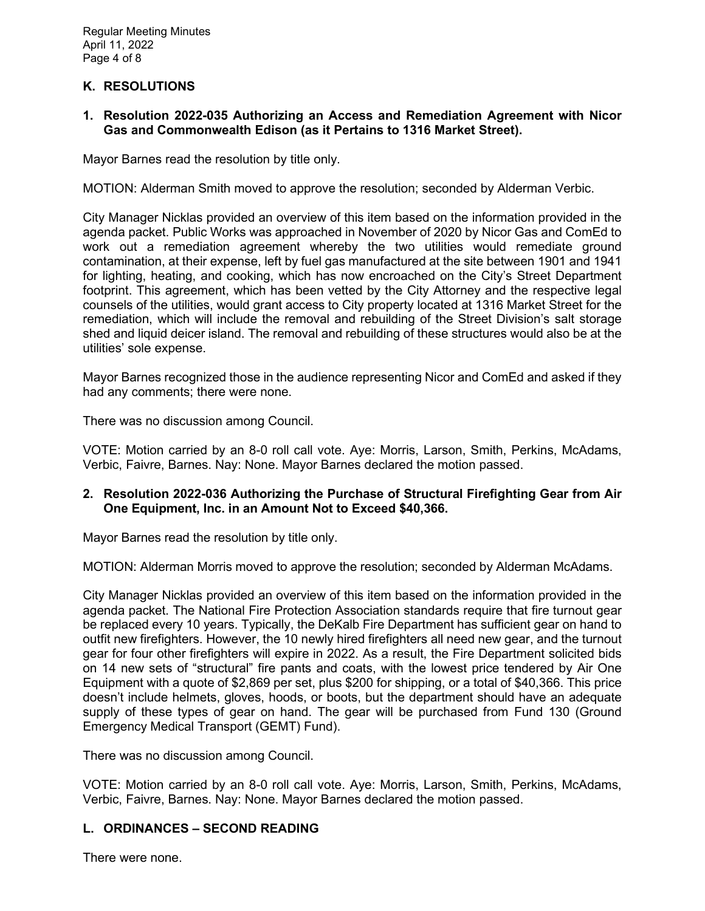# **K. RESOLUTIONS**

**1. Resolution 2022-035 Authorizing an Access and Remediation Agreement with Nicor Gas and Commonwealth Edison (as it Pertains to 1316 Market Street).** 

Mayor Barnes read the resolution by title only.

MOTION: Alderman Smith moved to approve the resolution; seconded by Alderman Verbic.

City Manager Nicklas provided an overview of this item based on the information provided in the agenda packet. Public Works was approached in November of 2020 by Nicor Gas and ComEd to work out a remediation agreement whereby the two utilities would remediate ground contamination, at their expense, left by fuel gas manufactured at the site between 1901 and 1941 for lighting, heating, and cooking, which has now encroached on the City's Street Department footprint. This agreement, which has been vetted by the City Attorney and the respective legal counsels of the utilities, would grant access to City property located at 1316 Market Street for the remediation, which will include the removal and rebuilding of the Street Division's salt storage shed and liquid deicer island. The removal and rebuilding of these structures would also be at the utilities' sole expense.

Mayor Barnes recognized those in the audience representing Nicor and ComEd and asked if they had any comments; there were none.

There was no discussion among Council.

VOTE: Motion carried by an 8-0 roll call vote. Aye: Morris, Larson, Smith, Perkins, McAdams, Verbic, Faivre, Barnes. Nay: None. Mayor Barnes declared the motion passed.

## **2. Resolution 2022-036 Authorizing the Purchase of Structural Firefighting Gear from Air One Equipment, Inc. in an Amount Not to Exceed \$40,366.**

Mayor Barnes read the resolution by title only.

MOTION: Alderman Morris moved to approve the resolution; seconded by Alderman McAdams.

City Manager Nicklas provided an overview of this item based on the information provided in the agenda packet. The National Fire Protection Association standards require that fire turnout gear be replaced every 10 years. Typically, the DeKalb Fire Department has sufficient gear on hand to outfit new firefighters. However, the 10 newly hired firefighters all need new gear, and the turnout gear for four other firefighters will expire in 2022. As a result, the Fire Department solicited bids on 14 new sets of "structural" fire pants and coats, with the lowest price tendered by Air One Equipment with a quote of \$2,869 per set, plus \$200 for shipping, or a total of \$40,366. This price doesn't include helmets, gloves, hoods, or boots, but the department should have an adequate supply of these types of gear on hand. The gear will be purchased from Fund 130 (Ground Emergency Medical Transport (GEMT) Fund).

There was no discussion among Council.

VOTE: Motion carried by an 8-0 roll call vote. Aye: Morris, Larson, Smith, Perkins, McAdams, Verbic, Faivre, Barnes. Nay: None. Mayor Barnes declared the motion passed.

## **L. ORDINANCES – SECOND READING**

There were none.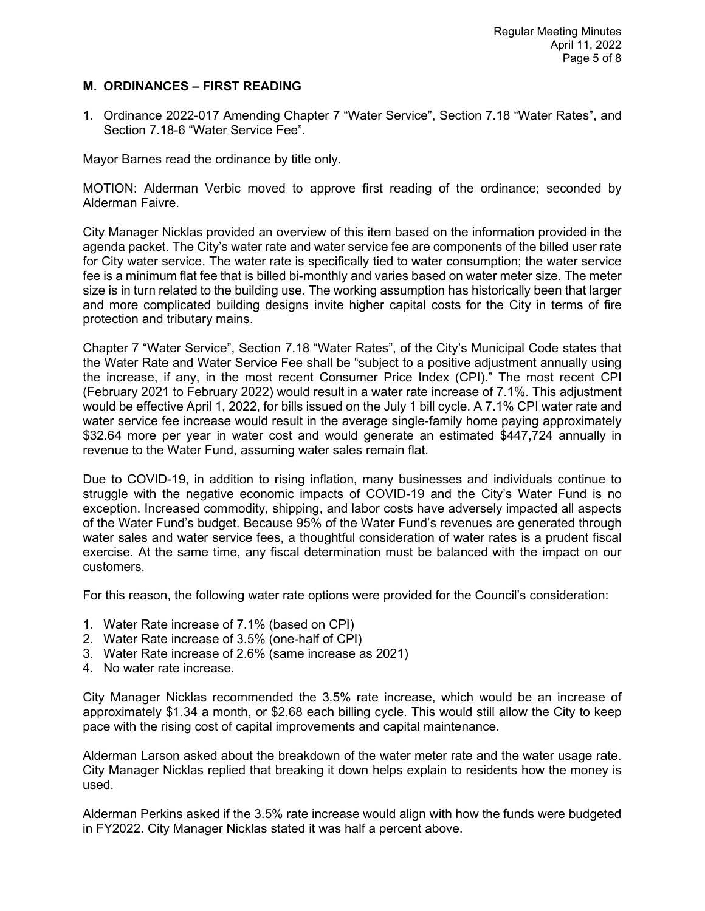## **M. ORDINANCES – FIRST READING**

1. Ordinance 2022-017 Amending Chapter 7 "Water Service", Section 7.18 "Water Rates", and Section 7.18-6 "Water Service Fee".

Mayor Barnes read the ordinance by title only.

MOTION: Alderman Verbic moved to approve first reading of the ordinance; seconded by Alderman Faivre.

City Manager Nicklas provided an overview of this item based on the information provided in the agenda packet. The City's water rate and water service fee are components of the billed user rate for City water service. The water rate is specifically tied to water consumption; the water service fee is a minimum flat fee that is billed bi-monthly and varies based on water meter size. The meter size is in turn related to the building use. The working assumption has historically been that larger and more complicated building designs invite higher capital costs for the City in terms of fire protection and tributary mains.

Chapter 7 "Water Service", Section 7.18 "Water Rates", of the City's Municipal Code states that the Water Rate and Water Service Fee shall be "subject to a positive adjustment annually using the increase, if any, in the most recent Consumer Price Index (CPI)." The most recent CPI (February 2021 to February 2022) would result in a water rate increase of 7.1%. This adjustment would be effective April 1, 2022, for bills issued on the July 1 bill cycle. A 7.1% CPI water rate and water service fee increase would result in the average single-family home paying approximately \$32.64 more per year in water cost and would generate an estimated \$447,724 annually in revenue to the Water Fund, assuming water sales remain flat.

Due to COVID-19, in addition to rising inflation, many businesses and individuals continue to struggle with the negative economic impacts of COVID-19 and the City's Water Fund is no exception. Increased commodity, shipping, and labor costs have adversely impacted all aspects of the Water Fund's budget. Because 95% of the Water Fund's revenues are generated through water sales and water service fees, a thoughtful consideration of water rates is a prudent fiscal exercise. At the same time, any fiscal determination must be balanced with the impact on our customers.

For this reason, the following water rate options were provided for the Council's consideration:

- 1. Water Rate increase of 7.1% (based on CPI)
- 2. Water Rate increase of 3.5% (one-half of CPI)
- 3. Water Rate increase of 2.6% (same increase as 2021)
- 4. No water rate increase.

City Manager Nicklas recommended the 3.5% rate increase, which would be an increase of approximately \$1.34 a month, or \$2.68 each billing cycle. This would still allow the City to keep pace with the rising cost of capital improvements and capital maintenance.

Alderman Larson asked about the breakdown of the water meter rate and the water usage rate. City Manager Nicklas replied that breaking it down helps explain to residents how the money is used.

Alderman Perkins asked if the 3.5% rate increase would align with how the funds were budgeted in FY2022. City Manager Nicklas stated it was half a percent above.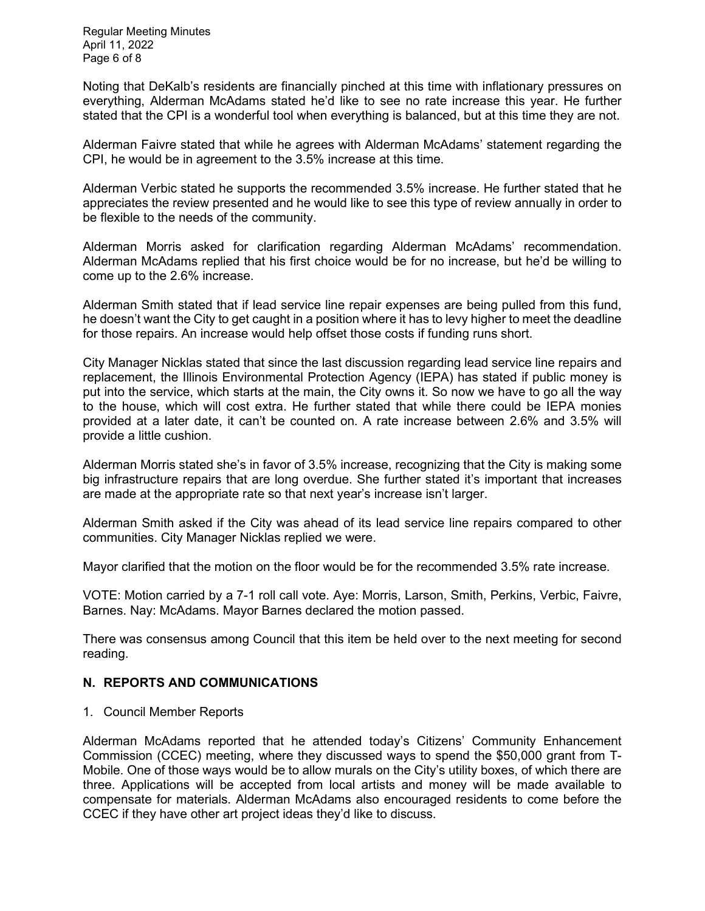Regular Meeting Minutes April 11, 2022 Page 6 of 8

Noting that DeKalb's residents are financially pinched at this time with inflationary pressures on everything, Alderman McAdams stated he'd like to see no rate increase this year. He further stated that the CPI is a wonderful tool when everything is balanced, but at this time they are not.

Alderman Faivre stated that while he agrees with Alderman McAdams' statement regarding the CPI, he would be in agreement to the 3.5% increase at this time.

Alderman Verbic stated he supports the recommended 3.5% increase. He further stated that he appreciates the review presented and he would like to see this type of review annually in order to be flexible to the needs of the community.

Alderman Morris asked for clarification regarding Alderman McAdams' recommendation. Alderman McAdams replied that his first choice would be for no increase, but he'd be willing to come up to the 2.6% increase.

Alderman Smith stated that if lead service line repair expenses are being pulled from this fund, he doesn't want the City to get caught in a position where it has to levy higher to meet the deadline for those repairs. An increase would help offset those costs if funding runs short.

City Manager Nicklas stated that since the last discussion regarding lead service line repairs and replacement, the Illinois Environmental Protection Agency (IEPA) has stated if public money is put into the service, which starts at the main, the City owns it. So now we have to go all the way to the house, which will cost extra. He further stated that while there could be IEPA monies provided at a later date, it can't be counted on. A rate increase between 2.6% and 3.5% will provide a little cushion.

Alderman Morris stated she's in favor of 3.5% increase, recognizing that the City is making some big infrastructure repairs that are long overdue. She further stated it's important that increases are made at the appropriate rate so that next year's increase isn't larger.

Alderman Smith asked if the City was ahead of its lead service line repairs compared to other communities. City Manager Nicklas replied we were.

Mayor clarified that the motion on the floor would be for the recommended 3.5% rate increase.

VOTE: Motion carried by a 7-1 roll call vote. Aye: Morris, Larson, Smith, Perkins, Verbic, Faivre, Barnes. Nay: McAdams. Mayor Barnes declared the motion passed.

There was consensus among Council that this item be held over to the next meeting for second reading.

# **N. REPORTS AND COMMUNICATIONS**

1. Council Member Reports

Alderman McAdams reported that he attended today's Citizens' Community Enhancement Commission (CCEC) meeting, where they discussed ways to spend the \$50,000 grant from T-Mobile. One of those ways would be to allow murals on the City's utility boxes, of which there are three. Applications will be accepted from local artists and money will be made available to compensate for materials. Alderman McAdams also encouraged residents to come before the CCEC if they have other art project ideas they'd like to discuss.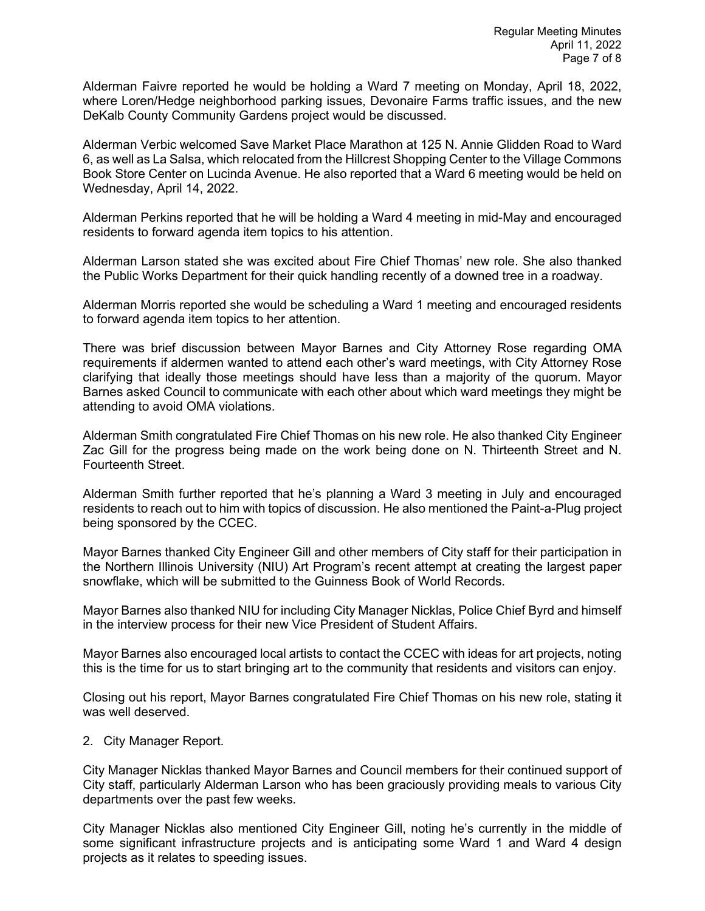Alderman Faivre reported he would be holding a Ward 7 meeting on Monday, April 18, 2022, where Loren/Hedge neighborhood parking issues, Devonaire Farms traffic issues, and the new DeKalb County Community Gardens project would be discussed.

Alderman Verbic welcomed Save Market Place Marathon at 125 N. Annie Glidden Road to Ward 6, as well as La Salsa, which relocated from the Hillcrest Shopping Center to the Village Commons Book Store Center on Lucinda Avenue. He also reported that a Ward 6 meeting would be held on Wednesday, April 14, 2022.

Alderman Perkins reported that he will be holding a Ward 4 meeting in mid-May and encouraged residents to forward agenda item topics to his attention.

Alderman Larson stated she was excited about Fire Chief Thomas' new role. She also thanked the Public Works Department for their quick handling recently of a downed tree in a roadway.

Alderman Morris reported she would be scheduling a Ward 1 meeting and encouraged residents to forward agenda item topics to her attention.

There was brief discussion between Mayor Barnes and City Attorney Rose regarding OMA requirements if aldermen wanted to attend each other's ward meetings, with City Attorney Rose clarifying that ideally those meetings should have less than a majority of the quorum. Mayor Barnes asked Council to communicate with each other about which ward meetings they might be attending to avoid OMA violations.

Alderman Smith congratulated Fire Chief Thomas on his new role. He also thanked City Engineer Zac Gill for the progress being made on the work being done on N. Thirteenth Street and N. Fourteenth Street.

Alderman Smith further reported that he's planning a Ward 3 meeting in July and encouraged residents to reach out to him with topics of discussion. He also mentioned the Paint-a-Plug project being sponsored by the CCEC.

Mayor Barnes thanked City Engineer Gill and other members of City staff for their participation in the Northern Illinois University (NIU) Art Program's recent attempt at creating the largest paper snowflake, which will be submitted to the Guinness Book of World Records.

Mayor Barnes also thanked NIU for including City Manager Nicklas, Police Chief Byrd and himself in the interview process for their new Vice President of Student Affairs.

Mayor Barnes also encouraged local artists to contact the CCEC with ideas for art projects, noting this is the time for us to start bringing art to the community that residents and visitors can enjoy.

Closing out his report, Mayor Barnes congratulated Fire Chief Thomas on his new role, stating it was well deserved.

2. City Manager Report.

City Manager Nicklas thanked Mayor Barnes and Council members for their continued support of City staff, particularly Alderman Larson who has been graciously providing meals to various City departments over the past few weeks.

City Manager Nicklas also mentioned City Engineer Gill, noting he's currently in the middle of some significant infrastructure projects and is anticipating some Ward 1 and Ward 4 design projects as it relates to speeding issues.